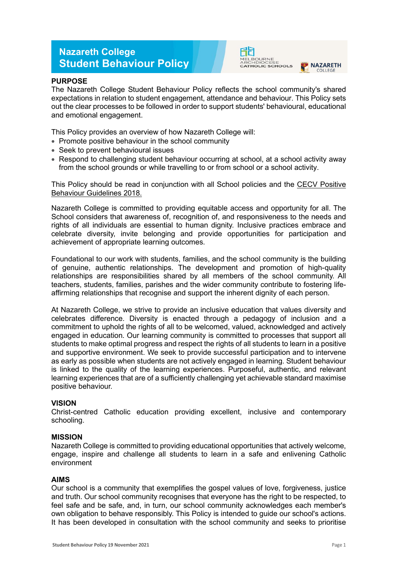# **Nazareth College Student Behaviour Policy**



# **PURPOSE**

The Nazareth College Student Behaviour Policy reflects the school community's shared expectations in relation to student engagement, attendance and behaviour. This Policy sets out the clear processes to be followed in order to support students' behavioural, educational and emotional engagement.

This Policy provides an overview of how Nazareth College will:

- Promote positive behaviour in the school community
- Seek to prevent behavioural issues
- Respond to challenging student behaviour occurring at school, at a school activity away from the school grounds or while travelling to or from school or a school activity.

This Policy should be read in conjunction with all School policies and the [CECV Positive](https://www.cecv.catholic.edu.au/getmedia/bc1d235d-9a98-4bb4-b3ac-84b50fa7c639/CECV-Positive-Behaviour-Guidelines_FINAL2.aspx?ext=.pdf)  [Behaviour Guidelines 2018.](https://www.cecv.catholic.edu.au/getmedia/bc1d235d-9a98-4bb4-b3ac-84b50fa7c639/CECV-Positive-Behaviour-Guidelines_FINAL2.aspx?ext=.pdf)

Nazareth College is committed to providing equitable access and opportunity for all. The School considers that awareness of, recognition of, and responsiveness to the needs and rights of all individuals are essential to human dignity. Inclusive practices embrace and celebrate diversity, invite belonging and provide opportunities for participation and achievement of appropriate learning outcomes.

Foundational to our work with students, families, and the school community is the building of genuine, authentic relationships. The development and promotion of high-quality relationships are responsibilities shared by all members of the school community. All teachers, students, families, parishes and the wider community contribute to fostering lifeaffirming relationships that recognise and support the inherent dignity of each person.

At Nazareth College, we strive to provide an inclusive education that values diversity and celebrates difference. Diversity is enacted through a pedagogy of inclusion and a commitment to uphold the rights of all to be welcomed, valued, acknowledged and actively engaged in education. Our learning community is committed to processes that support all students to make optimal progress and respect the rights of all students to learn in a positive and supportive environment. We seek to provide successful participation and to intervene as early as possible when students are not actively engaged in learning. Student behaviour is linked to the quality of the learning experiences. Purposeful, authentic, and relevant learning experiences that are of a sufficiently challenging yet achievable standard maximise positive behaviour.

# **VISION**

Christ-centred Catholic education providing excellent, inclusive and contemporary schooling.

#### **MISSION**

Nazareth College is committed to providing educational opportunities that actively welcome, engage, inspire and challenge all students to learn in a safe and enlivening Catholic environment

#### **AIMS**

Our school is a community that exemplifies the gospel values of love, forgiveness, justice and truth. Our school community recognises that everyone has the right to be respected, to feel safe and be safe, and, in turn, our school community acknowledges each member's own obligation to behave responsibly. This Policy is intended to guide our school's actions. It has been developed in consultation with the school community and seeks to prioritise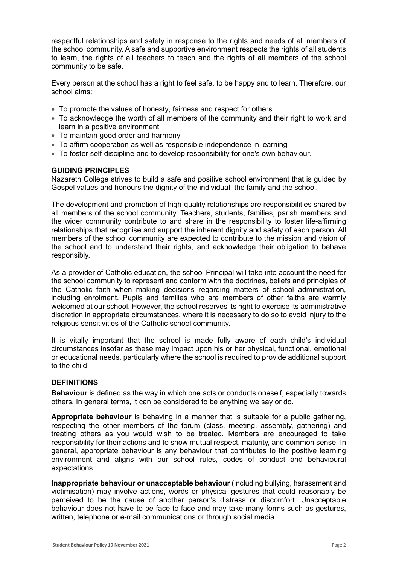respectful relationships and safety in response to the rights and needs of all members of the school community. A safe and supportive environment respects the rights of all students to learn, the rights of all teachers to teach and the rights of all members of the school community to be safe.

Every person at the school has a right to feel safe, to be happy and to learn. Therefore, our school aims:

- To promote the values of honesty, fairness and respect for others
- To acknowledge the worth of all members of the community and their right to work and learn in a positive environment
- To maintain good order and harmony
- To affirm cooperation as well as responsible independence in learning
- To foster self-discipline and to develop responsibility for one's own behaviour.

## **GUIDING PRINCIPLES**

Nazareth College strives to build a safe and positive school environment that is guided by Gospel values and honours the dignity of the individual, the family and the school.

The development and promotion of high-quality relationships are responsibilities shared by all members of the school community. Teachers, students, families, parish members and the wider community contribute to and share in the responsibility to foster life-affirming relationships that recognise and support the inherent dignity and safety of each person. All members of the school community are expected to contribute to the mission and vision of the school and to understand their rights, and acknowledge their obligation to behave responsibly.

As a provider of Catholic education, the school Principal will take into account the need for the school community to represent and conform with the doctrines, beliefs and principles of the Catholic faith when making decisions regarding matters of school administration, including enrolment. Pupils and families who are members of other faiths are warmly welcomed at our school. However, the school reserves its right to exercise its administrative discretion in appropriate circumstances, where it is necessary to do so to avoid injury to the religious sensitivities of the Catholic school community.

It is vitally important that the school is made fully aware of each child's individual circumstances insofar as these may impact upon his or her physical, functional, emotional or educational needs, particularly where the school is required to provide additional support to the child.

#### **DEFINITIONS**

**Behaviour** is defined as the way in which one acts or conducts oneself, especially towards others. In general terms, it can be considered to be anything we say or do.

**Appropriate behaviour** is behaving in a manner that is suitable for a public gathering, respecting the other members of the forum (class, meeting, assembly, gathering) and treating others as you would wish to be treated. Members are encouraged to take responsibility for their actions and to show mutual respect, maturity, and common sense. In general, appropriate behaviour is any behaviour that contributes to the positive learning environment and aligns with our school rules, codes of conduct and behavioural expectations.

**Inappropriate behaviour or unacceptable behaviour** (including bullying, harassment and victimisation) may involve actions, words or physical gestures that could reasonably be perceived to be the cause of another person's distress or discomfort. Unacceptable behaviour does not have to be face-to-face and may take many forms such as gestures, written, telephone or e-mail communications or through social media.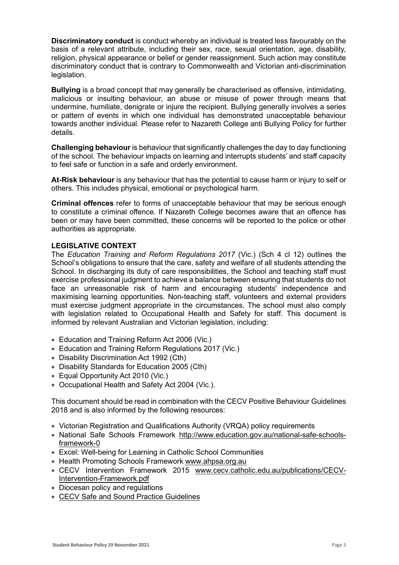**Discriminatory conduct** is conduct whereby an individual is treated less favourably on the basis of a relevant attribute, including their sex, race, sexual orientation, age, disability, religion, physical appearance or belief or gender reassignment. Such action may constitute discriminatory conduct that is contrary to Commonwealth and Victorian anti-discrimination legislation.

**Bullying** is a broad concept that may generally be characterised as offensive, intimidating, malicious or insulting behaviour, an abuse or misuse of power through means that undermine, humiliate, denigrate or injure the recipient. Bullying generally involves a series or pattern of events in which one individual has demonstrated unacceptable behaviour towards another individual. Please refer to Nazareth College anti Bullying Policy for further details.

**Challenging behaviour** is behaviour that significantly challenges the day to day functioning of the school. The behaviour impacts on learning and interrupts students' and staff capacity to feel safe or function in a safe and orderly environment.

**At-Risk behaviour** is any behaviour that has the potential to cause harm or injury to self or others. This includes physical, emotional or psychological harm.

**Criminal offences** refer to forms of unacceptable behaviour that may be serious enough to constitute a criminal offence. If Nazareth College becomes aware that an offence has been or may have been committed, these concerns will be reported to the police or other authorities as appropriate.

# **LEGISLATIVE CONTEXT**

The *Education Training and Reform Regulations 2017* (Vic.) (Sch 4 cl 12) outlines the School's obligations to ensure that the care, safety and welfare of all students attending the School. In discharging its duty of care responsibilities, the School and teaching staff must exercise professional judgment to achieve a balance between ensuring that students do not face an unreasonable risk of harm and encouraging students' independence and maximising learning opportunities. Non-teaching staff, volunteers and external providers must exercise judgment appropriate in the circumstances. The school must also comply with legislation related to Occupational Health and Safety for staff. This document is informed by relevant Australian and Victorian legislation, including:

- Education and Training Reform Act 2006 (Vic.)
- Education and Training Reform Regulations 2017 (Vic.)
- Disability Discrimination Act 1992 (Cth)
- Disability Standards for Education 2005 (Cth)
- Equal Opportunity Act 2010 (Vic.)
- Occupational Health and Safety Act 2004 (Vic.).

This document should be read in combination with the CECV Positive Behaviour Guidelines 2018 and is also informed by the following resources:

- Victorian Registration and Qualifications Authority (VRQA) policy requirements
- National Safe Schools Framework [http://www.education.gov.au/national-safe-schools](http://www.education.gov.au/national-safe-schools-framework-0)[framework-0](http://www.education.gov.au/national-safe-schools-framework-0)
- Excel: Well-being for Learning in Catholic School Communities
- Health Promoting Schools Framework [www.ahpsa.org.au](http://www.ahpsa.org.au/)
- CECV Intervention Framework 2015 [www.cecv.catholic.edu.au/publications/CECV-](http://www.cecv.catholic.edu.au/publications/CECV-Intervention-Framework.pdf)[Intervention-Framework.pdf](http://www.cecv.catholic.edu.au/publications/CECV-Intervention-Framework.pdf)
- Diocesan policy and regulations
- [CECV Safe and Sound Practice Guidelines](https://www.cecv.catholic.edu.au/getmedia/bad5e328-b5f9-4742-a66c-0c7f20ae21ff/Safe-and-Sound-Practice-Guidelines.aspx)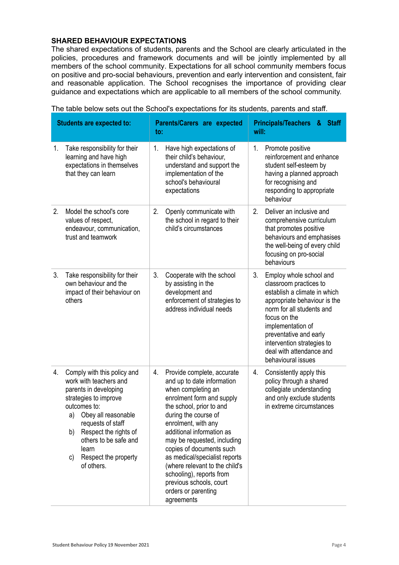# **SHARED BEHAVIOUR EXPECTATIONS**

The shared expectations of students, parents and the School are clearly articulated in the policies, procedures and framework documents and will be jointly implemented by all members of the school community. Expectations for all school community members focus on positive and pro-social behaviours, prevention and early intervention and consistent, fair and reasonable application. The School recognises the importance of providing clear guidance and expectations which are applicable to all members of the school community.

| <b>Students are expected to:</b> |                                                                                                                                                                                                                                                                                        | Parents/Carers are expected<br>to:                                                                                                                                                                                                                                                                                                                                                                                                                  | <b>Principals/Teachers &amp;</b><br><b>Staff</b><br>will:                                                                                                                                                                                                                                           |
|----------------------------------|----------------------------------------------------------------------------------------------------------------------------------------------------------------------------------------------------------------------------------------------------------------------------------------|-----------------------------------------------------------------------------------------------------------------------------------------------------------------------------------------------------------------------------------------------------------------------------------------------------------------------------------------------------------------------------------------------------------------------------------------------------|-----------------------------------------------------------------------------------------------------------------------------------------------------------------------------------------------------------------------------------------------------------------------------------------------------|
| 1.                               | Take responsibility for their<br>learning and have high<br>expectations in themselves<br>that they can learn                                                                                                                                                                           | Have high expectations of<br>1.<br>their child's behaviour.<br>understand and support the<br>implementation of the<br>school's behavioural<br>expectations                                                                                                                                                                                                                                                                                          | 1.<br>Promote positive<br>reinforcement and enhance<br>student self-esteem by<br>having a planned approach<br>for recognising and<br>responding to appropriate<br>behaviour                                                                                                                         |
| 2.                               | Model the school's core<br>values of respect,<br>endeavour, communication,<br>trust and teamwork                                                                                                                                                                                       | 2.<br>Openly communicate with<br>the school in regard to their<br>child's circumstances                                                                                                                                                                                                                                                                                                                                                             | 2.<br>Deliver an inclusive and<br>comprehensive curriculum<br>that promotes positive<br>behaviours and emphasises<br>the well-being of every child<br>focusing on pro-social<br>behaviours                                                                                                          |
| 3.                               | Take responsibility for their<br>own behaviour and the<br>impact of their behaviour on<br>others                                                                                                                                                                                       | 3.<br>Cooperate with the school<br>by assisting in the<br>development and<br>enforcement of strategies to<br>address individual needs                                                                                                                                                                                                                                                                                                               | 3.<br>Employ whole school and<br>classroom practices to<br>establish a climate in which<br>appropriate behaviour is the<br>norm for all students and<br>focus on the<br>implementation of<br>preventative and early<br>intervention strategies to<br>deal with attendance and<br>behavioural issues |
| 4.                               | Comply with this policy and<br>work with teachers and<br>parents in developing<br>strategies to improve<br>outcomes to:<br>Obey all reasonable<br>a)<br>requests of staff<br>Respect the rights of<br>b)<br>others to be safe and<br>learn<br>Respect the property<br>C)<br>of others. | Provide complete, accurate<br>4.<br>and up to date information<br>when completing an<br>enrolment form and supply<br>the school, prior to and<br>during the course of<br>enrolment, with any<br>additional information as<br>may be requested, including<br>copies of documents such<br>as medical/specialist reports<br>(where relevant to the child's<br>schooling), reports from<br>previous schools, court<br>orders or parenting<br>agreements | 4.<br>Consistently apply this<br>policy through a shared<br>collegiate understanding<br>and only exclude students<br>in extreme circumstances                                                                                                                                                       |

The table below sets out the School's expectations for its students, parents and staff.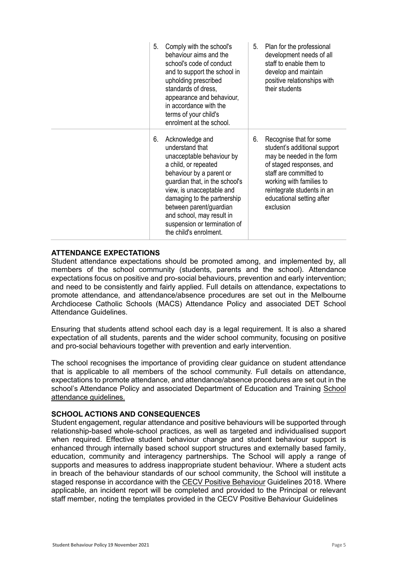- 5. Comply with the school's behaviour aims and the school's code of conduct and to support the school in upholding prescribed standards of dress, appearance and behaviour, in accordance with the terms of your child's enrolment at the school.
- 6. Acknowledge and understand that unacceptable behaviour by a child, or repeated behaviour by a parent or guardian that, in the school's view, is unacceptable and damaging to the partnership between parent/guardian and school, may result in suspension or termination of the child's enrolment.
- 5. Plan for the professional development needs of all staff to enable them to develop and maintain positive relationships with their students
- 6. Recognise that for some student's additional support may be needed in the form of staged responses, and staff are committed to working with families to reintegrate students in an educational setting after exclusion

# **ATTENDANCE EXPECTATIONS**

Student attendance expectations should be promoted among, and implemented by, all members of the school community (students, parents and the school). Attendance expectations focus on positive and pro-social behaviours, prevention and early intervention; and need to be consistently and fairly applied. Full details on attendance, expectations to promote attendance, and attendance/absence procedures are set out in the Melbourne Archdiocese Catholic Schools (MACS) Attendance Policy and associated DET School Attendance Guidelines.

Ensuring that students attend school each day is a legal requirement. It is also a shared expectation of all students, parents and the wider school community, focusing on positive and pro-social behaviours together with prevention and early intervention.

The school recognises the importance of providing clear guidance on student attendance that is applicable to all members of the school community. Full details on attendance, expectations to promote attendance, and attendance/absence procedures are set out in the school's Attendance Policy and associated Department of Education and Training [School](https://www2.education.vic.gov.au/pal/attendance/guidance)  [attendance guidelines.](https://www2.education.vic.gov.au/pal/attendance/guidance)

# **SCHOOL ACTIONS AND CONSEQUENCES**

Student engagement, regular attendance and positive behaviours will be supported through relationship-based whole-school practices, as well as targeted and individualised support when required. Effective student behaviour change and student behaviour support is enhanced through internally based school support structures and externally based family, education, community and interagency partnerships. The School will apply a range of supports and measures to address inappropriate student behaviour. Where a student acts in breach of the behaviour standards of our school community, the School will institute a staged response in accordance with th[e CECV Positive Behaviour](https://www.cecv.catholic.edu.au/getmedia/bc1d235d-9a98-4bb4-b3ac-84b50fa7c639/CECV-Positive-Behaviour-Guidelines_FINAL2.aspx?ext=.pdf) Guidelines 2018. Where applicable, an incident report will be completed and provided to the Principal or relevant staff member, noting the templates provided in the CECV Positive Behaviour Guidelines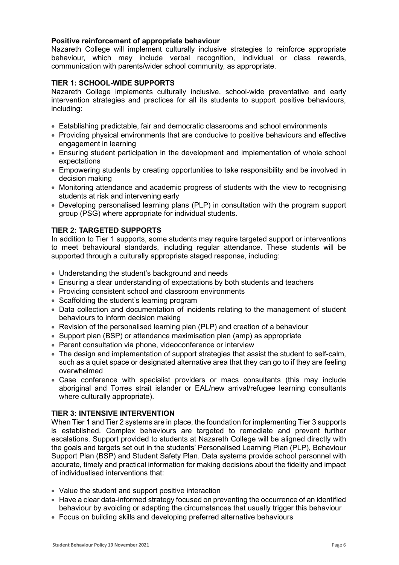## **Positive reinforcement of appropriate behaviour**

Nazareth College will implement culturally inclusive strategies to reinforce appropriate behaviour, which may include verbal recognition, individual or class rewards, communication with parents/wider school community, as appropriate.

## **TIER 1: SCHOOL-WIDE SUPPORTS**

Nazareth College implements culturally inclusive, school-wide preventative and early intervention strategies and practices for all its students to support positive behaviours, including:

- Establishing predictable, fair and democratic classrooms and school environments
- Providing physical environments that are conducive to positive behaviours and effective engagement in learning
- Ensuring student participation in the development and implementation of whole school expectations
- Empowering students by creating opportunities to take responsibility and be involved in decision making
- Monitoring attendance and academic progress of students with the view to recognising students at risk and intervening early
- Developing personalised learning plans (PLP) in consultation with the program support group (PSG) where appropriate for individual students.

# **TIER 2: TARGETED SUPPORTS**

In addition to Tier 1 supports, some students may require targeted support or interventions to meet behavioural standards, including regular attendance. These students will be supported through a culturally appropriate staged response, including:

- Understanding the student's background and needs
- Ensuring a clear understanding of expectations by both students and teachers
- Providing consistent school and classroom environments
- Scaffolding the student's learning program
- Data collection and documentation of incidents relating to the management of student behaviours to inform decision making
- Revision of the personalised learning plan (PLP) and creation of a behaviour
- Support plan (BSP) or attendance maximisation plan (amp) as appropriate
- Parent consultation via phone, videoconference or interview
- The design and implementation of support strategies that assist the student to self-calm, such as a quiet space or designated alternative area that they can go to if they are feeling overwhelmed
- Case conference with specialist providers or macs consultants (this may include aboriginal and Torres strait islander or EAL/new arrival/refugee learning consultants where culturally appropriate).

#### **TIER 3: INTENSIVE INTERVENTION**

When Tier 1 and Tier 2 systems are in place, the foundation for implementing Tier 3 supports is established. Complex behaviours are targeted to remediate and prevent further escalations. Support provided to students at Nazareth College will be aligned directly with the goals and targets set out in the students' Personalised Learning Plan (PLP), Behaviour Support Plan (BSP) and Student Safety Plan. Data systems provide school personnel with accurate, timely and practical information for making decisions about the fidelity and impact of individualised interventions that:

- Value the student and support positive interaction
- Have a clear data-informed strategy focused on preventing the occurrence of an identified behaviour by avoiding or adapting the circumstances that usually trigger this behaviour
- Focus on building skills and developing preferred alternative behaviours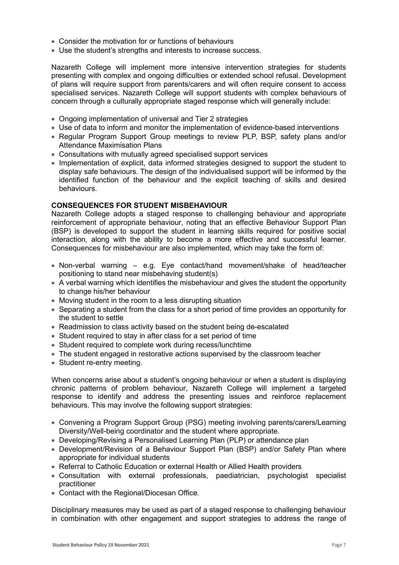- Consider the motivation for or functions of behaviours
- Use the student's strengths and interests to increase success.

Nazareth College will implement more intensive intervention strategies for students presenting with complex and ongoing difficulties or extended school refusal. Development of plans will require support from parents/carers and will often require consent to access specialised services. Nazareth College will support students with complex behaviours of concern through a culturally appropriate staged response which will generally include:

- Ongoing implementation of universal and Tier 2 strategies
- Use of data to inform and monitor the implementation of evidence-based interventions
- Regular Program Support Group meetings to review PLP, BSP, safety plans and/or Attendance Maximisation Plans
- Consultations with mutually agreed specialised support services
- Implementation of explicit, data informed strategies designed to support the student to display safe behaviours. The design of the individualised support will be informed by the identified function of the behaviour and the explicit teaching of skills and desired behaviours.

#### **CONSEQUENCES FOR STUDENT MISBEHAVIOUR**

Nazareth College adopts a staged response to challenging behaviour and appropriate reinforcement of appropriate behaviour, noting that an effective Behaviour Support Plan (BSP) is developed to support the student in learning skills required for positive social interaction, along with the ability to become a more effective and successful learner. Consequences for misbehaviour are also implemented, which may take the form of:

- Non-verbal warning e.g. Eye contact/hand movement/shake of head/teacher positioning to stand near misbehaving student(s)
- A verbal warning which identifies the misbehaviour and gives the student the opportunity to change his/her behaviour
- Moving student in the room to a less disrupting situation
- Separating a student from the class for a short period of time provides an opportunity for the student to settle
- Readmission to class activity based on the student being de-escalated
- Student required to stay in after class for a set period of time
- Student required to complete work during recess/lunchtime
- The student engaged in restorative actions supervised by the classroom teacher
- Student re-entry meeting.

When concerns arise about a student's ongoing behaviour or when a student is displaying chronic patterns of problem behaviour, Nazareth College will implement a targeted response to identify and address the presenting issues and reinforce replacement behaviours. This may involve the following support strategies:

- Convening a Program Support Group (PSG) meeting involving parents/carers/Learning Diversity/Well-being coordinator and the student where appropriate.
- Developing/Revising a Personalised Learning Plan (PLP) or attendance plan
- Development/Revision of a Behaviour Support Plan (BSP) and/or Safety Plan where appropriate for individual students
- Referral to Catholic Education or external Health or Allied Health providers
- Consultation with external professionals, paediatrician, psychologist specialist practitioner
- Contact with the Regional/Diocesan Office.

Disciplinary measures may be used as part of a staged response to challenging behaviour in combination with other engagement and support strategies to address the range of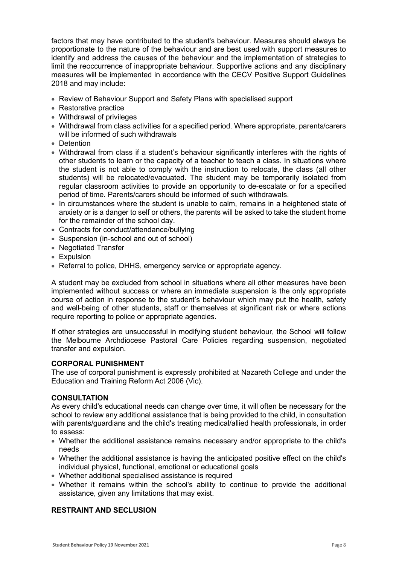factors that may have contributed to the student's behaviour. Measures should always be proportionate to the nature of the behaviour and are best used with support measures to identify and address the causes of the behaviour and the implementation of strategies to limit the reoccurrence of inappropriate behaviour. Supportive actions and any disciplinary measures will be implemented in accordance with the CECV Positive Support Guidelines 2018 and may include:

- Review of Behaviour Support and Safety Plans with specialised support
- Restorative practice
- Withdrawal of privileges
- Withdrawal from class activities for a specified period. Where appropriate, parents/carers will be informed of such withdrawals
- Detention
- Withdrawal from class if a student's behaviour significantly interferes with the rights of other students to learn or the capacity of a teacher to teach a class. In situations where the student is not able to comply with the instruction to relocate, the class (all other students) will be relocated/evacuated. The student may be temporarily isolated from regular classroom activities to provide an opportunity to de-escalate or for a specified period of time. Parents/carers should be informed of such withdrawals.
- In circumstances where the student is unable to calm, remains in a heightened state of anxiety or is a danger to self or others, the parents will be asked to take the student home for the remainder of the school day.
- Contracts for conduct/attendance/bullying
- Suspension (in-school and out of school)
- Negotiated Transfer
- Expulsion
- Referral to police, DHHS, emergency service or appropriate agency.

A student may be excluded from school in situations where all other measures have been implemented without success or where an immediate suspension is the only appropriate course of action in response to the student's behaviour which may put the health, safety and well-being of other students, staff or themselves at significant risk or where actions require reporting to police or appropriate agencies.

If other strategies are unsuccessful in modifying student behaviour, the School will follow the Melbourne Archdiocese Pastoral Care Policies regarding suspension, negotiated transfer and expulsion.

#### **CORPORAL PUNISHMENT**

The use of corporal punishment is expressly prohibited at Nazareth College and under the Education and Training Reform Act 2006 (Vic).

#### **CONSULTATION**

As every child's educational needs can change over time, it will often be necessary for the school to review any additional assistance that is being provided to the child, in consultation with parents/guardians and the child's treating medical/allied health professionals, in order to assess:

- Whether the additional assistance remains necessary and/or appropriate to the child's needs
- Whether the additional assistance is having the anticipated positive effect on the child's individual physical, functional, emotional or educational goals
- Whether additional specialised assistance is required
- Whether it remains within the school's ability to continue to provide the additional assistance, given any limitations that may exist.

# **RESTRAINT AND SECLUSION**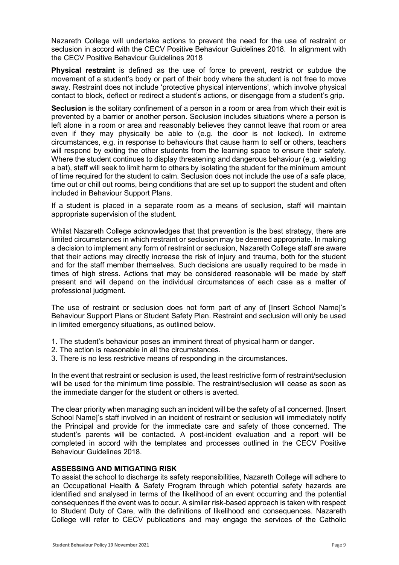Nazareth College will undertake actions to prevent the need for the use of restraint or seclusion in accord with the CECV Positive Behaviour Guidelines 2018. In alignment with the CECV Positive Behaviour Guidelines 2018

**Physical restraint** is defined as the use of force to prevent, restrict or subdue the movement of a student's body or part of their body where the student is not free to move away. Restraint does not include 'protective physical interventions', which involve physical contact to block, deflect or redirect a student's actions, or disengage from a student's grip.

**Seclusion** is the solitary confinement of a person in a room or area from which their exit is prevented by a barrier or another person. Seclusion includes situations where a person is left alone in a room or area and reasonably believes they cannot leave that room or area even if they may physically be able to (e.g. the door is not locked). In extreme circumstances, e.g. in response to behaviours that cause harm to self or others, teachers will respond by exiting the other students from the learning space to ensure their safety. Where the student continues to display threatening and dangerous behaviour (e.g. wielding a bat), staff will seek to limit harm to others by isolating the student for the minimum amount of time required for the student to calm. Seclusion does not include the use of a safe place, time out or chill out rooms, being conditions that are set up to support the student and often included in Behaviour Support Plans.

If a student is placed in a separate room as a means of seclusion, staff will maintain appropriate supervision of the student.

Whilst Nazareth College acknowledges that that prevention is the best strategy, there are limited circumstances in which restraint or seclusion may be deemed appropriate. In making a decision to implement any form of restraint or seclusion, Nazareth College staff are aware that their actions may directly increase the risk of injury and trauma, both for the student and for the staff member themselves. Such decisions are usually required to be made in times of high stress. Actions that may be considered reasonable will be made by staff present and will depend on the individual circumstances of each case as a matter of professional judgment.

The use of restraint or seclusion does not form part of any of [Insert School Name]'s Behaviour Support Plans or Student Safety Plan. Restraint and seclusion will only be used in limited emergency situations, as outlined below.

- 1. The student's behaviour poses an imminent threat of physical harm or danger.
- 2. The action is reasonable in all the circumstances.
- 3. There is no less restrictive means of responding in the circumstances.

In the event that restraint or seclusion is used, the least restrictive form of restraint/seclusion will be used for the minimum time possible. The restraint/seclusion will cease as soon as the immediate danger for the student or others is averted.

The clear priority when managing such an incident will be the safety of all concerned. [Insert School Name]'s staff involved in an incident of restraint or seclusion will immediately notify the Principal and provide for the immediate care and safety of those concerned. The student's parents will be contacted. A post-incident evaluation and a report will be completed in accord with the templates and processes outlined in the CECV Positive Behaviour Guidelines 2018.

#### **ASSESSING AND MITIGATING RISK**

To assist the school to discharge its safety responsibilities, Nazareth College will adhere to an Occupational Health & Safety Program through which potential safety hazards are identified and analysed in terms of the likelihood of an event occurring and the potential consequences if the event was to occur. A similar risk-based approach is taken with respect to Student Duty of Care, with the definitions of likelihood and consequences. Nazareth College will refer to CECV publications and may engage the services of the Catholic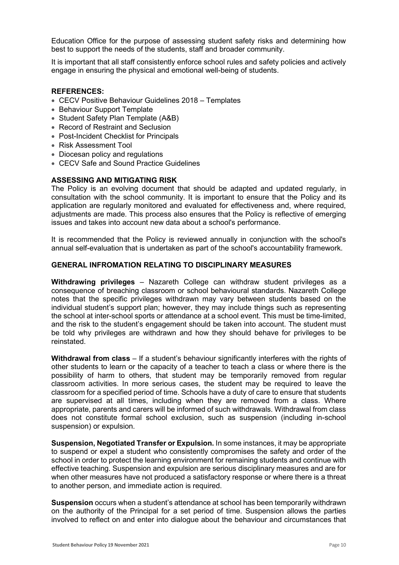Education Office for the purpose of assessing student safety risks and determining how best to support the needs of the students, staff and broader community.

It is important that all staff consistently enforce school rules and safety policies and actively engage in ensuring the physical and emotional well-being of students.

## **REFERENCES:**

- CECV Positive Behaviour Guidelines 2018 Templates
- Behaviour Support Template
- Student Safety Plan Template (A&B)
- Record of Restraint and Seclusion
- Post-Incident Checklist for Principals
- Risk Assessment Tool
- Diocesan policy and regulations
- CECV Safe and Sound Practice Guidelines

## **ASSESSING AND MITIGATING RISK**

The Policy is an evolving document that should be adapted and updated regularly, in consultation with the school community. It is important to ensure that the Policy and its application are regularly monitored and evaluated for effectiveness and, where required, adjustments are made. This process also ensures that the Policy is reflective of emerging issues and takes into account new data about a school's performance.

It is recommended that the Policy is reviewed annually in conjunction with the school's annual self-evaluation that is undertaken as part of the school's accountability framework.

## **GENERAL INFROMATION RELATING TO DISCIPLINARY MEASURES**

**Withdrawing privileges** – Nazareth College can withdraw student privileges as a consequence of breaching classroom or school behavioural standards. Nazareth College notes that the specific privileges withdrawn may vary between students based on the individual student's support plan; however, they may include things such as representing the school at inter-school sports or attendance at a school event. This must be time-limited, and the risk to the student's engagement should be taken into account. The student must be told why privileges are withdrawn and how they should behave for privileges to be reinstated.

**Withdrawal from class** – If a student's behaviour significantly interferes with the rights of other students to learn or the capacity of a teacher to teach a class or where there is the possibility of harm to others, that student may be temporarily removed from regular classroom activities. In more serious cases, the student may be required to leave the classroom for a specified period of time. Schools have a duty of care to ensure that students are supervised at all times, including when they are removed from a class. Where appropriate, parents and carers will be informed of such withdrawals. Withdrawal from class does not constitute formal school exclusion, such as suspension (including in-school suspension) or expulsion.

**Suspension, Negotiated Transfer or Expulsion.** In some instances, it may be appropriate to suspend or expel a student who consistently compromises the safety and order of the school in order to protect the learning environment for remaining students and continue with effective teaching. Suspension and expulsion are serious disciplinary measures and are for when other measures have not produced a satisfactory response or where there is a threat to another person, and immediate action is required.

**Suspension** occurs when a student's attendance at school has been temporarily withdrawn on the authority of the Principal for a set period of time. Suspension allows the parties involved to reflect on and enter into dialogue about the behaviour and circumstances that